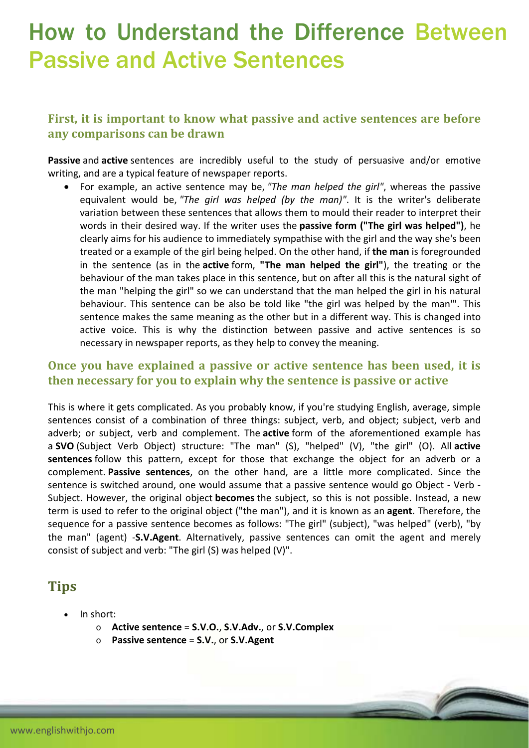# How to Understand the Difference Between Passive and Active Sentences

### **First, it is important to know what passive and active sentences are before any comparisons can be drawn**

**Passive** and **active** sentences are incredibly useful to the study of persuasive and/or emotive writing, and are a typical feature of newspaper reports.

 For example, an active sentence may be, *"The man helped the girl"*, whereas the passive equivalent would be, *"The girl was helped (by the man)"*. It is the writer's deliberate variation between these sentences that allows them to mould their reader to interpret their words in their desired way. If the writer uses the **passive form ("The girl was helped")**, he clearly aims for his audience to immediately sympathise with the girl and the way she's been treated or a example of the girl being helped. On the other hand, if **the man** is foregrounded in the sentence (as in the **active** form, **"The man helped the girl"**), the treating or the behaviour of the man takes place in this sentence, but on after all this is the natural sight of the man "helping the girl" so we can understand that the man helped the girl in his natural behaviour. This sentence can be also be told like "the girl was helped by the man'". This sentence makes the same meaning as the other but in a different way. This is changed into active voice. This is why the distinction between passive and active sentences is so necessary in newspaper reports, as they help to convey the meaning.

#### **Once you have explained a passive or active sentence has been used, it is then necessary for you to explain why the sentence is passive or active**

This is where it gets complicated. As you probably know, if you're studying English, average, simple sentences consist of a combination of three things: subject, verb, and object; subject, verb and adverb; or subject, verb and complement. The **active** form of the aforementioned example has a **SVO** (Subject Verb Object) structure: "The man" (S), "helped" (V), "the girl" (O). All **active sentences** follow this pattern, except for those that exchange the object for an adverb or a complement. **Passive sentences**, on the other hand, are a little more complicated. Since the sentence is switched around, one would assume that a passive sentence would go Object ‐ Verb ‐ Subject. However, the original object **becomes** the subject, so this is not possible. Instead, a new term is used to refer to the original object ("the man"), and it is known as an **agent**. Therefore, the sequence for a passive sentence becomes as follows: "The girl" (subject), "was helped" (verb), "by the man" (agent) ‐**S.V.Agent**. Alternatively, passive sentences can omit the agent and merely consist of subject and verb: "The girl (S) was helped (V)".

# **Tips**

- In short:
	- o **Active sentence** = **S.V.O.**, **S.V.Adv.**, or **S.V.Complex**
	- o **Passive sentence** = **S.V.**, or **S.V.Agent**